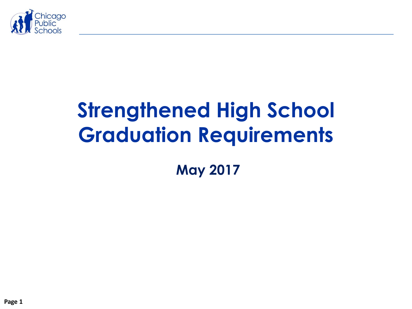

# **Strengthened High School Graduation Requirements**

**May 2017**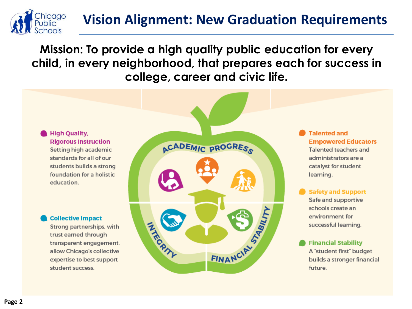# **Vision Alignment: New Graduation Requirements**

**Mission: To provide a high quality public education for every child, in every neighborhood, that prepares each for success in college, career and civic life.** 



nicago **iblic** 

> **Rigorous Instruction** Setting high academic standards for all of our students builds a strong foundation for a holistic education.

#### **Collective Impact**

Strong partnerships, with trust earned through transparent engagement, allow Chicago's collective expertise to best support student success.



**Talented and Empowered Educators** Talented teachers and administrators are a catalvst for student learning.

**Safety and Support** Safe and supportive schools create an environment for successful learning.

**Financial Stability** A "student first" budget builds a stronger financial future.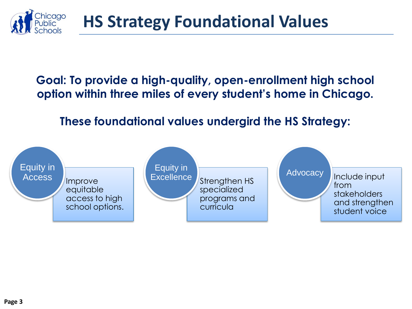

## **Goal: To provide a high-quality, open-enrollment high school option within three miles of every student's home in Chicago.**

# **These foundational values undergird the HS Strategy:**

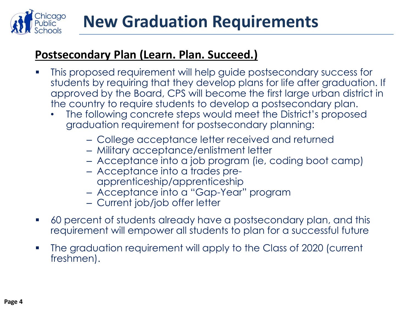

### **Postsecondary Plan (Learn. Plan. Succeed.)**

- This proposed requirement will help guide postsecondary success for students by requiring that they develop plans for life after graduation. If approved by the Board, CPS will become the first large urban district in the country to require students to develop a postsecondary plan.
	- The following concrete steps would meet the District's proposed graduation requirement for postsecondary planning:
		- College acceptance letter received and returned
		- Military acceptance/enlistment letter
		- Acceptance into a job program (ie, coding boot camp)
		- Acceptance into a trades preapprenticeship/apprenticeship
		- Acceptance into a "Gap-Year" program
		- Current job/job offer letter
- 60 percent of students already have a postsecondary plan, and this requirement will empower all students to plan for a successful future
- The graduation requirement will apply to the Class of 2020 (current freshmen).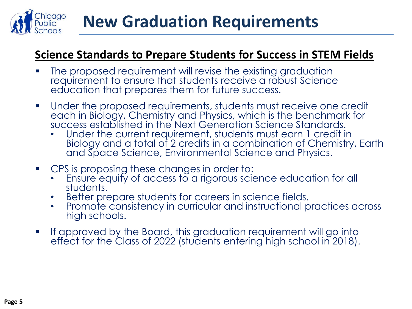

#### **Science Standards to Prepare Students for Success in STEM Fields**

- **The proposed requirement will revise the existing graduation** requirement to ensure that students receive a robust Science education that prepares them for future success.
- Under the proposed requirements, students must receive one credit each in Biology, Chemistry and Physics, which is the benchmark for success established in the Next Generation Science Standards.
	- Under the current requirement, students must earn 1 credit in Biology and a total of 2 credits in a combination of Chemistry, Earth and Space Science, Environmental Science and Physics.
- CPS is proposing these changes in order to:
	- Ensure equity of access to a rigorous science education for all students.
	- Better prepare students for careers in science fields.
	- Promote consistency in curricular and instructional practices across high schools.
- **If approved by the Board, this graduation requirement will go into** effect for the Class of 2022 (students entering high school in 2018).